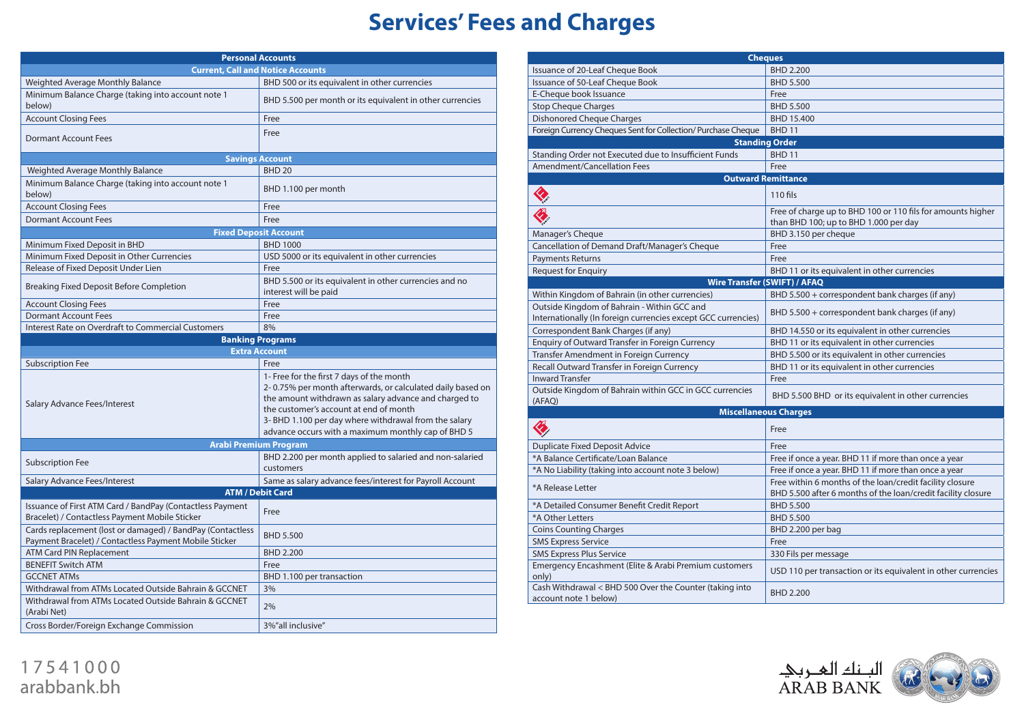## **Services' Fees and Charges**

| <b>Personal Accounts</b>                                                                                             |                                                                                                                                                                                                                                                                                                                           |  |  |  |  |
|----------------------------------------------------------------------------------------------------------------------|---------------------------------------------------------------------------------------------------------------------------------------------------------------------------------------------------------------------------------------------------------------------------------------------------------------------------|--|--|--|--|
|                                                                                                                      | <b>Current, Call and Notice Accounts</b>                                                                                                                                                                                                                                                                                  |  |  |  |  |
| Weighted Average Monthly Balance                                                                                     | BHD 500 or its equivalent in other currencies                                                                                                                                                                                                                                                                             |  |  |  |  |
| Minimum Balance Charge (taking into account note 1<br>below)                                                         | BHD 5.500 per month or its equivalent in other currencies                                                                                                                                                                                                                                                                 |  |  |  |  |
| <b>Account Closing Fees</b>                                                                                          | Free                                                                                                                                                                                                                                                                                                                      |  |  |  |  |
| <b>Dormant Account Fees</b>                                                                                          | Free                                                                                                                                                                                                                                                                                                                      |  |  |  |  |
|                                                                                                                      | <b>Savings Account</b>                                                                                                                                                                                                                                                                                                    |  |  |  |  |
| Weighted Average Monthly Balance                                                                                     | <b>BHD 20</b>                                                                                                                                                                                                                                                                                                             |  |  |  |  |
| Minimum Balance Charge (taking into account note 1<br>below)                                                         | BHD 1.100 per month                                                                                                                                                                                                                                                                                                       |  |  |  |  |
| <b>Account Closing Fees</b>                                                                                          | Free                                                                                                                                                                                                                                                                                                                      |  |  |  |  |
| <b>Dormant Account Fees</b>                                                                                          | Free                                                                                                                                                                                                                                                                                                                      |  |  |  |  |
|                                                                                                                      | <b>Fixed Deposit Account</b>                                                                                                                                                                                                                                                                                              |  |  |  |  |
| Minimum Fixed Deposit in BHD                                                                                         | <b>BHD 1000</b>                                                                                                                                                                                                                                                                                                           |  |  |  |  |
| Minimum Fixed Deposit in Other Currencies                                                                            | USD 5000 or its equivalent in other currencies                                                                                                                                                                                                                                                                            |  |  |  |  |
| Release of Fixed Deposit Under Lien                                                                                  | Free                                                                                                                                                                                                                                                                                                                      |  |  |  |  |
| Breaking Fixed Deposit Before Completion                                                                             | BHD 5.500 or its equivalent in other currencies and no<br>interest will be paid                                                                                                                                                                                                                                           |  |  |  |  |
| <b>Account Closing Fees</b>                                                                                          | Free                                                                                                                                                                                                                                                                                                                      |  |  |  |  |
| <b>Dormant Account Fees</b>                                                                                          | Free                                                                                                                                                                                                                                                                                                                      |  |  |  |  |
| Interest Rate on Overdraft to Commercial Customers                                                                   | 8%                                                                                                                                                                                                                                                                                                                        |  |  |  |  |
|                                                                                                                      | <b>Banking Programs</b>                                                                                                                                                                                                                                                                                                   |  |  |  |  |
|                                                                                                                      | <b>Extra Account</b>                                                                                                                                                                                                                                                                                                      |  |  |  |  |
| <b>Subscription Fee</b>                                                                                              | Free                                                                                                                                                                                                                                                                                                                      |  |  |  |  |
| Salary Advance Fees/Interest                                                                                         | 1- Free for the first 7 days of the month<br>2-0.75% per month afterwards, or calculated daily based on<br>the amount withdrawn as salary advance and charged to<br>the customer's account at end of month<br>3- BHD 1.100 per day where withdrawal from the salary<br>advance occurs with a maximum monthly cap of BHD 5 |  |  |  |  |
| <b>Arabi Premium Program</b>                                                                                         |                                                                                                                                                                                                                                                                                                                           |  |  |  |  |
| <b>Subscription Fee</b>                                                                                              | BHD 2.200 per month applied to salaried and non-salaried<br>customers                                                                                                                                                                                                                                                     |  |  |  |  |
| Salary Advance Fees/Interest                                                                                         | Same as salary advance fees/interest for Payroll Account                                                                                                                                                                                                                                                                  |  |  |  |  |
| <b>ATM / Debit Card</b>                                                                                              |                                                                                                                                                                                                                                                                                                                           |  |  |  |  |
| Issuance of First ATM Card / BandPay (Contactless Payment<br>Bracelet) / Contactless Payment Mobile Sticker          | Free                                                                                                                                                                                                                                                                                                                      |  |  |  |  |
| Cards replacement (lost or damaged) / BandPay (Contactless<br>Payment Bracelet) / Contactless Payment Mobile Sticker | <b>BHD 5.500</b>                                                                                                                                                                                                                                                                                                          |  |  |  |  |
| <b>ATM Card PIN Replacement</b>                                                                                      | <b>BHD 2.200</b>                                                                                                                                                                                                                                                                                                          |  |  |  |  |
| <b>BENEFIT Switch ATM</b>                                                                                            | Free                                                                                                                                                                                                                                                                                                                      |  |  |  |  |
|                                                                                                                      | BHD 1.100 per transaction                                                                                                                                                                                                                                                                                                 |  |  |  |  |
| <b>GCCNET ATMs</b>                                                                                                   |                                                                                                                                                                                                                                                                                                                           |  |  |  |  |
| Withdrawal from ATMs Located Outside Bahrain & GCCNET                                                                | 3%                                                                                                                                                                                                                                                                                                                        |  |  |  |  |
| Withdrawal from ATMs Located Outside Bahrain & GCCNET<br>(Arabi Net)                                                 | 2%                                                                                                                                                                                                                                                                                                                        |  |  |  |  |

| Issuance of 20-Leaf Cheque Book<br><b>BHD 2.200</b><br>Issuance of 50-Leaf Cheque Book<br><b>BHD 5.500</b><br>E-Cheque book Issuance<br>Free<br><b>Stop Cheque Charges</b><br><b>BHD 5.500</b><br><b>Dishonored Cheque Charges</b><br>BHD 15.400<br>Foreign Currency Cheques Sent for Collection/ Purchase Cheque<br>BHD <sub>11</sub><br><b>Standing Order</b><br>Standing Order not Executed due to Insufficient Funds<br>BHD <sub>11</sub><br><b>Amendment/Cancellation Fees</b><br>Free<br><b>Outward Remittance</b><br>$110$ fils<br>Free of charge up to BHD 100 or 110 fils for amounts higher<br>than BHD 100; up to BHD 1.000 per day<br>Manager's Cheque<br>BHD 3.150 per cheque<br>Cancellation of Demand Draft/Manager's Cheque<br>Free<br><b>Payments Returns</b><br>Free<br><b>Request for Enquiry</b><br>BHD 11 or its equivalent in other currencies<br><b>Wire Transfer (SWIFT) / AFAQ</b><br>Within Kingdom of Bahrain (in other currencies)<br>BHD 5.500 + correspondent bank charges (if any)<br>Outside Kingdom of Bahrain - Within GCC and<br>BHD 5.500 + correspondent bank charges (if any)<br>Internationally (In foreign currencies except GCC currencies)<br>Correspondent Bank Charges (if any)<br>BHD 14.550 or its equivalent in other currencies<br>Enquiry of Outward Transfer in Foreign Currency<br>BHD 11 or its equivalent in other currencies<br>Transfer Amendment in Foreign Currency<br>BHD 5.500 or its equivalent in other currencies<br>Recall Outward Transfer in Foreign Currency<br>BHD 11 or its equivalent in other currencies<br><b>Inward Transfer</b><br>Free<br>Outside Kingdom of Bahrain within GCC in GCC currencies<br>BHD 5.500 BHD or its equivalent in other currencies<br>(AFAQ)<br><b>Miscellaneous Charges</b><br><b>KIT</b><br>Free<br><b>Duplicate Fixed Deposit Advice</b><br>Free<br>*A Balance Certificate/Loan Balance<br>Free if once a year. BHD 11 if more than once a year<br>Free if once a year. BHD 11 if more than once a year<br>*A No Liability (taking into account note 3 below)<br>Free within 6 months of the loan/credit facility closure<br>*A Release Letter<br>BHD 5.500 after 6 months of the loan/credit facility closure<br>*A Detailed Consumer Benefit Credit Report<br><b>BHD 5.500</b><br>*A Other Letters<br><b>BHD 5.500</b><br><b>Coins Counting Charges</b><br>BHD 2.200 per bag<br><b>SMS Express Service</b><br>Free<br><b>SMS Express Plus Service</b><br>330 Fils per message<br>Emergency Encashment (Elite & Arabi Premium customers<br>USD 110 per transaction or its equivalent in other currencies<br>only)<br>Cash Withdrawal < BHD 500 Over the Counter (taking into<br><b>BHD 2.200</b><br>account note 1 below) | <b>Cheques</b> |  |  |  |  |  |
|-------------------------------------------------------------------------------------------------------------------------------------------------------------------------------------------------------------------------------------------------------------------------------------------------------------------------------------------------------------------------------------------------------------------------------------------------------------------------------------------------------------------------------------------------------------------------------------------------------------------------------------------------------------------------------------------------------------------------------------------------------------------------------------------------------------------------------------------------------------------------------------------------------------------------------------------------------------------------------------------------------------------------------------------------------------------------------------------------------------------------------------------------------------------------------------------------------------------------------------------------------------------------------------------------------------------------------------------------------------------------------------------------------------------------------------------------------------------------------------------------------------------------------------------------------------------------------------------------------------------------------------------------------------------------------------------------------------------------------------------------------------------------------------------------------------------------------------------------------------------------------------------------------------------------------------------------------------------------------------------------------------------------------------------------------------------------------------------------------------------------------------------------------------------------------------------------------------------------------------------------------------------------------------------------------------------------------------------------------------------------------------------------------------------------------------------------------------------------------------------------------------------------------------------------------------------------------------------------------------------------------------------------------------------------------------------------------------------------------|----------------|--|--|--|--|--|
|                                                                                                                                                                                                                                                                                                                                                                                                                                                                                                                                                                                                                                                                                                                                                                                                                                                                                                                                                                                                                                                                                                                                                                                                                                                                                                                                                                                                                                                                                                                                                                                                                                                                                                                                                                                                                                                                                                                                                                                                                                                                                                                                                                                                                                                                                                                                                                                                                                                                                                                                                                                                                                                                                                                               |                |  |  |  |  |  |
|                                                                                                                                                                                                                                                                                                                                                                                                                                                                                                                                                                                                                                                                                                                                                                                                                                                                                                                                                                                                                                                                                                                                                                                                                                                                                                                                                                                                                                                                                                                                                                                                                                                                                                                                                                                                                                                                                                                                                                                                                                                                                                                                                                                                                                                                                                                                                                                                                                                                                                                                                                                                                                                                                                                               |                |  |  |  |  |  |
|                                                                                                                                                                                                                                                                                                                                                                                                                                                                                                                                                                                                                                                                                                                                                                                                                                                                                                                                                                                                                                                                                                                                                                                                                                                                                                                                                                                                                                                                                                                                                                                                                                                                                                                                                                                                                                                                                                                                                                                                                                                                                                                                                                                                                                                                                                                                                                                                                                                                                                                                                                                                                                                                                                                               |                |  |  |  |  |  |
|                                                                                                                                                                                                                                                                                                                                                                                                                                                                                                                                                                                                                                                                                                                                                                                                                                                                                                                                                                                                                                                                                                                                                                                                                                                                                                                                                                                                                                                                                                                                                                                                                                                                                                                                                                                                                                                                                                                                                                                                                                                                                                                                                                                                                                                                                                                                                                                                                                                                                                                                                                                                                                                                                                                               |                |  |  |  |  |  |
|                                                                                                                                                                                                                                                                                                                                                                                                                                                                                                                                                                                                                                                                                                                                                                                                                                                                                                                                                                                                                                                                                                                                                                                                                                                                                                                                                                                                                                                                                                                                                                                                                                                                                                                                                                                                                                                                                                                                                                                                                                                                                                                                                                                                                                                                                                                                                                                                                                                                                                                                                                                                                                                                                                                               |                |  |  |  |  |  |
|                                                                                                                                                                                                                                                                                                                                                                                                                                                                                                                                                                                                                                                                                                                                                                                                                                                                                                                                                                                                                                                                                                                                                                                                                                                                                                                                                                                                                                                                                                                                                                                                                                                                                                                                                                                                                                                                                                                                                                                                                                                                                                                                                                                                                                                                                                                                                                                                                                                                                                                                                                                                                                                                                                                               |                |  |  |  |  |  |
|                                                                                                                                                                                                                                                                                                                                                                                                                                                                                                                                                                                                                                                                                                                                                                                                                                                                                                                                                                                                                                                                                                                                                                                                                                                                                                                                                                                                                                                                                                                                                                                                                                                                                                                                                                                                                                                                                                                                                                                                                                                                                                                                                                                                                                                                                                                                                                                                                                                                                                                                                                                                                                                                                                                               |                |  |  |  |  |  |
|                                                                                                                                                                                                                                                                                                                                                                                                                                                                                                                                                                                                                                                                                                                                                                                                                                                                                                                                                                                                                                                                                                                                                                                                                                                                                                                                                                                                                                                                                                                                                                                                                                                                                                                                                                                                                                                                                                                                                                                                                                                                                                                                                                                                                                                                                                                                                                                                                                                                                                                                                                                                                                                                                                                               |                |  |  |  |  |  |
|                                                                                                                                                                                                                                                                                                                                                                                                                                                                                                                                                                                                                                                                                                                                                                                                                                                                                                                                                                                                                                                                                                                                                                                                                                                                                                                                                                                                                                                                                                                                                                                                                                                                                                                                                                                                                                                                                                                                                                                                                                                                                                                                                                                                                                                                                                                                                                                                                                                                                                                                                                                                                                                                                                                               |                |  |  |  |  |  |
|                                                                                                                                                                                                                                                                                                                                                                                                                                                                                                                                                                                                                                                                                                                                                                                                                                                                                                                                                                                                                                                                                                                                                                                                                                                                                                                                                                                                                                                                                                                                                                                                                                                                                                                                                                                                                                                                                                                                                                                                                                                                                                                                                                                                                                                                                                                                                                                                                                                                                                                                                                                                                                                                                                                               |                |  |  |  |  |  |
|                                                                                                                                                                                                                                                                                                                                                                                                                                                                                                                                                                                                                                                                                                                                                                                                                                                                                                                                                                                                                                                                                                                                                                                                                                                                                                                                                                                                                                                                                                                                                                                                                                                                                                                                                                                                                                                                                                                                                                                                                                                                                                                                                                                                                                                                                                                                                                                                                                                                                                                                                                                                                                                                                                                               |                |  |  |  |  |  |
|                                                                                                                                                                                                                                                                                                                                                                                                                                                                                                                                                                                                                                                                                                                                                                                                                                                                                                                                                                                                                                                                                                                                                                                                                                                                                                                                                                                                                                                                                                                                                                                                                                                                                                                                                                                                                                                                                                                                                                                                                                                                                                                                                                                                                                                                                                                                                                                                                                                                                                                                                                                                                                                                                                                               |                |  |  |  |  |  |
|                                                                                                                                                                                                                                                                                                                                                                                                                                                                                                                                                                                                                                                                                                                                                                                                                                                                                                                                                                                                                                                                                                                                                                                                                                                                                                                                                                                                                                                                                                                                                                                                                                                                                                                                                                                                                                                                                                                                                                                                                                                                                                                                                                                                                                                                                                                                                                                                                                                                                                                                                                                                                                                                                                                               |                |  |  |  |  |  |
|                                                                                                                                                                                                                                                                                                                                                                                                                                                                                                                                                                                                                                                                                                                                                                                                                                                                                                                                                                                                                                                                                                                                                                                                                                                                                                                                                                                                                                                                                                                                                                                                                                                                                                                                                                                                                                                                                                                                                                                                                                                                                                                                                                                                                                                                                                                                                                                                                                                                                                                                                                                                                                                                                                                               |                |  |  |  |  |  |
|                                                                                                                                                                                                                                                                                                                                                                                                                                                                                                                                                                                                                                                                                                                                                                                                                                                                                                                                                                                                                                                                                                                                                                                                                                                                                                                                                                                                                                                                                                                                                                                                                                                                                                                                                                                                                                                                                                                                                                                                                                                                                                                                                                                                                                                                                                                                                                                                                                                                                                                                                                                                                                                                                                                               |                |  |  |  |  |  |
|                                                                                                                                                                                                                                                                                                                                                                                                                                                                                                                                                                                                                                                                                                                                                                                                                                                                                                                                                                                                                                                                                                                                                                                                                                                                                                                                                                                                                                                                                                                                                                                                                                                                                                                                                                                                                                                                                                                                                                                                                                                                                                                                                                                                                                                                                                                                                                                                                                                                                                                                                                                                                                                                                                                               |                |  |  |  |  |  |
|                                                                                                                                                                                                                                                                                                                                                                                                                                                                                                                                                                                                                                                                                                                                                                                                                                                                                                                                                                                                                                                                                                                                                                                                                                                                                                                                                                                                                                                                                                                                                                                                                                                                                                                                                                                                                                                                                                                                                                                                                                                                                                                                                                                                                                                                                                                                                                                                                                                                                                                                                                                                                                                                                                                               |                |  |  |  |  |  |
|                                                                                                                                                                                                                                                                                                                                                                                                                                                                                                                                                                                                                                                                                                                                                                                                                                                                                                                                                                                                                                                                                                                                                                                                                                                                                                                                                                                                                                                                                                                                                                                                                                                                                                                                                                                                                                                                                                                                                                                                                                                                                                                                                                                                                                                                                                                                                                                                                                                                                                                                                                                                                                                                                                                               |                |  |  |  |  |  |
|                                                                                                                                                                                                                                                                                                                                                                                                                                                                                                                                                                                                                                                                                                                                                                                                                                                                                                                                                                                                                                                                                                                                                                                                                                                                                                                                                                                                                                                                                                                                                                                                                                                                                                                                                                                                                                                                                                                                                                                                                                                                                                                                                                                                                                                                                                                                                                                                                                                                                                                                                                                                                                                                                                                               |                |  |  |  |  |  |
|                                                                                                                                                                                                                                                                                                                                                                                                                                                                                                                                                                                                                                                                                                                                                                                                                                                                                                                                                                                                                                                                                                                                                                                                                                                                                                                                                                                                                                                                                                                                                                                                                                                                                                                                                                                                                                                                                                                                                                                                                                                                                                                                                                                                                                                                                                                                                                                                                                                                                                                                                                                                                                                                                                                               |                |  |  |  |  |  |
|                                                                                                                                                                                                                                                                                                                                                                                                                                                                                                                                                                                                                                                                                                                                                                                                                                                                                                                                                                                                                                                                                                                                                                                                                                                                                                                                                                                                                                                                                                                                                                                                                                                                                                                                                                                                                                                                                                                                                                                                                                                                                                                                                                                                                                                                                                                                                                                                                                                                                                                                                                                                                                                                                                                               |                |  |  |  |  |  |
|                                                                                                                                                                                                                                                                                                                                                                                                                                                                                                                                                                                                                                                                                                                                                                                                                                                                                                                                                                                                                                                                                                                                                                                                                                                                                                                                                                                                                                                                                                                                                                                                                                                                                                                                                                                                                                                                                                                                                                                                                                                                                                                                                                                                                                                                                                                                                                                                                                                                                                                                                                                                                                                                                                                               |                |  |  |  |  |  |
|                                                                                                                                                                                                                                                                                                                                                                                                                                                                                                                                                                                                                                                                                                                                                                                                                                                                                                                                                                                                                                                                                                                                                                                                                                                                                                                                                                                                                                                                                                                                                                                                                                                                                                                                                                                                                                                                                                                                                                                                                                                                                                                                                                                                                                                                                                                                                                                                                                                                                                                                                                                                                                                                                                                               |                |  |  |  |  |  |
|                                                                                                                                                                                                                                                                                                                                                                                                                                                                                                                                                                                                                                                                                                                                                                                                                                                                                                                                                                                                                                                                                                                                                                                                                                                                                                                                                                                                                                                                                                                                                                                                                                                                                                                                                                                                                                                                                                                                                                                                                                                                                                                                                                                                                                                                                                                                                                                                                                                                                                                                                                                                                                                                                                                               |                |  |  |  |  |  |
|                                                                                                                                                                                                                                                                                                                                                                                                                                                                                                                                                                                                                                                                                                                                                                                                                                                                                                                                                                                                                                                                                                                                                                                                                                                                                                                                                                                                                                                                                                                                                                                                                                                                                                                                                                                                                                                                                                                                                                                                                                                                                                                                                                                                                                                                                                                                                                                                                                                                                                                                                                                                                                                                                                                               |                |  |  |  |  |  |
|                                                                                                                                                                                                                                                                                                                                                                                                                                                                                                                                                                                                                                                                                                                                                                                                                                                                                                                                                                                                                                                                                                                                                                                                                                                                                                                                                                                                                                                                                                                                                                                                                                                                                                                                                                                                                                                                                                                                                                                                                                                                                                                                                                                                                                                                                                                                                                                                                                                                                                                                                                                                                                                                                                                               |                |  |  |  |  |  |
|                                                                                                                                                                                                                                                                                                                                                                                                                                                                                                                                                                                                                                                                                                                                                                                                                                                                                                                                                                                                                                                                                                                                                                                                                                                                                                                                                                                                                                                                                                                                                                                                                                                                                                                                                                                                                                                                                                                                                                                                                                                                                                                                                                                                                                                                                                                                                                                                                                                                                                                                                                                                                                                                                                                               |                |  |  |  |  |  |
|                                                                                                                                                                                                                                                                                                                                                                                                                                                                                                                                                                                                                                                                                                                                                                                                                                                                                                                                                                                                                                                                                                                                                                                                                                                                                                                                                                                                                                                                                                                                                                                                                                                                                                                                                                                                                                                                                                                                                                                                                                                                                                                                                                                                                                                                                                                                                                                                                                                                                                                                                                                                                                                                                                                               |                |  |  |  |  |  |
|                                                                                                                                                                                                                                                                                                                                                                                                                                                                                                                                                                                                                                                                                                                                                                                                                                                                                                                                                                                                                                                                                                                                                                                                                                                                                                                                                                                                                                                                                                                                                                                                                                                                                                                                                                                                                                                                                                                                                                                                                                                                                                                                                                                                                                                                                                                                                                                                                                                                                                                                                                                                                                                                                                                               |                |  |  |  |  |  |
|                                                                                                                                                                                                                                                                                                                                                                                                                                                                                                                                                                                                                                                                                                                                                                                                                                                                                                                                                                                                                                                                                                                                                                                                                                                                                                                                                                                                                                                                                                                                                                                                                                                                                                                                                                                                                                                                                                                                                                                                                                                                                                                                                                                                                                                                                                                                                                                                                                                                                                                                                                                                                                                                                                                               |                |  |  |  |  |  |
|                                                                                                                                                                                                                                                                                                                                                                                                                                                                                                                                                                                                                                                                                                                                                                                                                                                                                                                                                                                                                                                                                                                                                                                                                                                                                                                                                                                                                                                                                                                                                                                                                                                                                                                                                                                                                                                                                                                                                                                                                                                                                                                                                                                                                                                                                                                                                                                                                                                                                                                                                                                                                                                                                                                               |                |  |  |  |  |  |
|                                                                                                                                                                                                                                                                                                                                                                                                                                                                                                                                                                                                                                                                                                                                                                                                                                                                                                                                                                                                                                                                                                                                                                                                                                                                                                                                                                                                                                                                                                                                                                                                                                                                                                                                                                                                                                                                                                                                                                                                                                                                                                                                                                                                                                                                                                                                                                                                                                                                                                                                                                                                                                                                                                                               |                |  |  |  |  |  |
|                                                                                                                                                                                                                                                                                                                                                                                                                                                                                                                                                                                                                                                                                                                                                                                                                                                                                                                                                                                                                                                                                                                                                                                                                                                                                                                                                                                                                                                                                                                                                                                                                                                                                                                                                                                                                                                                                                                                                                                                                                                                                                                                                                                                                                                                                                                                                                                                                                                                                                                                                                                                                                                                                                                               |                |  |  |  |  |  |
|                                                                                                                                                                                                                                                                                                                                                                                                                                                                                                                                                                                                                                                                                                                                                                                                                                                                                                                                                                                                                                                                                                                                                                                                                                                                                                                                                                                                                                                                                                                                                                                                                                                                                                                                                                                                                                                                                                                                                                                                                                                                                                                                                                                                                                                                                                                                                                                                                                                                                                                                                                                                                                                                                                                               |                |  |  |  |  |  |
|                                                                                                                                                                                                                                                                                                                                                                                                                                                                                                                                                                                                                                                                                                                                                                                                                                                                                                                                                                                                                                                                                                                                                                                                                                                                                                                                                                                                                                                                                                                                                                                                                                                                                                                                                                                                                                                                                                                                                                                                                                                                                                                                                                                                                                                                                                                                                                                                                                                                                                                                                                                                                                                                                                                               |                |  |  |  |  |  |
|                                                                                                                                                                                                                                                                                                                                                                                                                                                                                                                                                                                                                                                                                                                                                                                                                                                                                                                                                                                                                                                                                                                                                                                                                                                                                                                                                                                                                                                                                                                                                                                                                                                                                                                                                                                                                                                                                                                                                                                                                                                                                                                                                                                                                                                                                                                                                                                                                                                                                                                                                                                                                                                                                                                               |                |  |  |  |  |  |
|                                                                                                                                                                                                                                                                                                                                                                                                                                                                                                                                                                                                                                                                                                                                                                                                                                                                                                                                                                                                                                                                                                                                                                                                                                                                                                                                                                                                                                                                                                                                                                                                                                                                                                                                                                                                                                                                                                                                                                                                                                                                                                                                                                                                                                                                                                                                                                                                                                                                                                                                                                                                                                                                                                                               |                |  |  |  |  |  |
|                                                                                                                                                                                                                                                                                                                                                                                                                                                                                                                                                                                                                                                                                                                                                                                                                                                                                                                                                                                                                                                                                                                                                                                                                                                                                                                                                                                                                                                                                                                                                                                                                                                                                                                                                                                                                                                                                                                                                                                                                                                                                                                                                                                                                                                                                                                                                                                                                                                                                                                                                                                                                                                                                                                               |                |  |  |  |  |  |



17541000 arabbank.bh